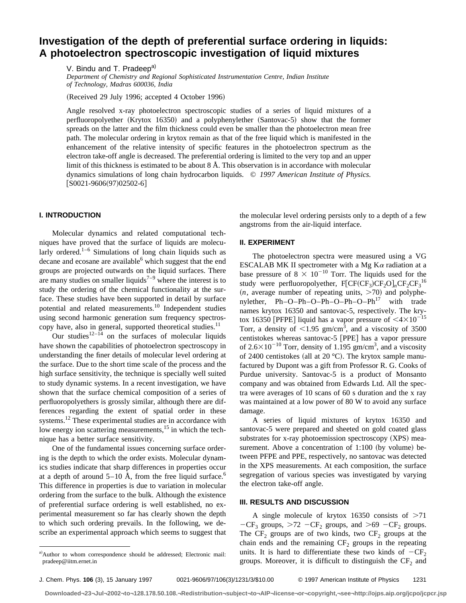# **Investigation of the depth of preferential surface ordering in liquids: A photoelectron spectroscopic investigation of liquid mixtures**

V. Bindu and T. Pradeep<sup>a)</sup>

*Department of Chemistry and Regional Sophisticated Instrumentation Centre, Indian Institute of Technology, Madras 600036, India*

(Received 29 July 1996; accepted 4 October 1996)

Angle resolved x-ray photoelectron spectroscopic studies of a series of liquid mixtures of a perfluoropolyether (Krytox 16350) and a polyphenylether (Santovac-5) show that the former spreads on the latter and the film thickness could even be smaller than the photoelectron mean free path. The molecular ordering in krytox remain as that of the free liquid which is manifested in the enhancement of the relative intensity of specific features in the photoelectron spectrum as the electron take-off angle is decreased. The preferential ordering is limited to the very top and an upper limit of this thickness is estimated to be about 8 Å. This observation is in accordance with molecular dynamics simulations of long chain hydrocarbon liquids. © *1997 American Institute of Physics.*  $[SO021-9606(97)02502-6]$ 

### **I. INTRODUCTION**

Molecular dynamics and related computational techniques have proved that the surface of liquids are molecularly ordered. $1-6$  Simulations of long chain liquids such as decane and ecosane are available $<sup>6</sup>$  which suggest that the end</sup> groups are projected outwards on the liquid surfaces. There are many studies on smaller liquids<sup> $7-9$ </sup> where the interest is to study the ordering of the chemical functionality at the surface. These studies have been supported in detail by surface potential and related measurements.<sup>10</sup> Independent studies using second harmonic generation sum frequency spectroscopy have, also in general, supported theoretical studies.<sup>11</sup>

Our studies<sup>12– $I$ 4</sup> on the surfaces of molecular liquids have shown the capabilities of photoelectron spectroscopy in understanding the finer details of molecular level ordering at the surface. Due to the short time scale of the process and the high surface sensitivity, the technique is specially well suited to study dynamic systems. In a recent investigation, we have shown that the surface chemical composition of a series of perfluoropolyethers is grossly similar, although there are differences regarding the extent of spatial order in these systems.<sup>12</sup> These experimental studies are in accordance with low energy ion scattering measurements,<sup>15</sup> in which the technique has a better surface sensitivity.

One of the fundamental issues concerning surface ordering is the depth to which the order exists. Molecular dynamics studies indicate that sharp differences in properties occur at a depth of around  $5-10$  Å, from the free liquid surface.<sup>6</sup> This difference in properties is due to variation in molecular ordering from the surface to the bulk. Although the existence of preferential surface ordering is well established, no experimental measurement so far has clearly shown the depth to which such ordering prevails. In the following, we describe an experimental approach which seems to suggest that the molecular level ordering persists only to a depth of a few angstroms from the air-liquid interface.

### **II. EXPERIMENT**

The photoelectron spectra were measured using a VG ESCALAB MK II spectrometer with a Mg  $K\alpha$  radiation at a base pressure of  $8 \times 10^{-10}$  Torr. The liquids used for the study were perfluoropolyether,  $F[CF(CF_3)CF_2O]_nCF_2CF_3^{16}$  $(n, \text{ average number of repeating units}, >70)$  and polyphenylether, Ph–O–Ph–O–Ph–O–Ph–O–Ph<sup>17</sup> with trade names krytox 16350 and santovac-5, respectively. The krytox 16350 [PFPE] liquid has a vapor pressure of  $\leq 4 \times 10^{-15}$ Torr, a density of  $\leq 1.95$  gm/cm<sup>3</sup>, and a viscosity of 3500 centistokes whereas santovac-5 [PPE] has a vapor pressure of 2.6 $\times$ 10<sup>-10</sup> Torr, density of 1.195 gm/cm<sup>3</sup>, and a viscosity of 2400 centistokes (all at 20  $^{\circ}$ C). The krytox sample manufactured by Dupont was a gift from Professor R. G. Cooks of Purdue university. Santovac-5 is a product of Monsanto company and was obtained from Edwards Ltd. All the spectra were averages of 10 scans of 60 s duration and the x ray was maintained at a low power of 80 W to avoid any surface damage.

A series of liquid mixtures of krytox 16350 and santovac-5 were prepared and sheeted on gold coated glass substrates for x-ray photoemission spectroscopy (XPS) measurement. Above a concentration of  $1:100$  (by volume) between PFPE and PPE, respectively, no santovac was detected in the XPS measurements. At each composition, the surface segregation of various species was investigated by varying the electron take-off angle.

#### **III. RESULTS AND DISCUSSION**

A single molecule of krytox  $16350$  consists of  $>71$  $-CF_3$  groups,  $>72$   $-CF_2$  groups, and  $>69$   $-CF_2$  groups. The  $CF_2$  groups are of two kinds, two  $CF_2$  groups at the chain ends and the remaining  $CF<sub>2</sub>$  groups in the repeating units. It is hard to differentiate these two kinds of  $-CF_2$ groups. Moreover, it is difficult to distinguish the  $CF_2$  and

a)Author to whom correspondence should be addressed; Electronic mail: pradeep@iitm.ernet.in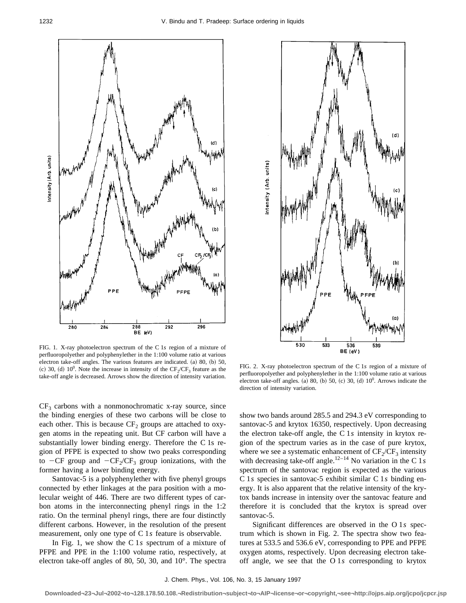



FIG. 1. X-ray photoelectron spectrum of the C 1*s* region of a mixture of perfluoropolyether and polyphenylether in the 1:100 volume ratio at various electron take-off angles. The various features are indicated.  $(a) 80$ ,  $(b) 50$ , (c) 30, (d)  $10^0$ . Note the increase in intensity of the  $CF_2/CF_3$  feature as the take-off angle is decreased. Arrows show the direction of intensity variation.

 $CF<sub>3</sub>$  carbons with a nonmonochromatic x-ray source, since the binding energies of these two carbons will be close to each other. This is because  $CF<sub>2</sub>$  groups are attached to oxygen atoms in the repeating unit. But CF carbon will have a substantially lower binding energy. Therefore the C 1s region of PFPE is expected to show two peaks corresponding to  $-CF$  group and  $-CF_2/CF_3$  group ionizations, with the former having a lower binding energy.

Santovac-5 is a polyphenylether with five phenyl groups connected by ether linkages at the para position with a molecular weight of 446. There are two different types of carbon atoms in the interconnecting phenyl rings in the 1:2 ratio. On the terminal phenyl rings, there are four distinctly different carbons. However, in the resolution of the present measurement, only one type of C 1*s* feature is observable.

In Fig. 1, we show the C 1*s* spectrum of a mixture of PFPE and PPE in the 1:100 volume ratio, respectively, at electron take-off angles of 80, 50, 30, and 10°. The spectra

FIG. 2. X-ray photoelectron spectrum of the C 1*s* region of a mixture of perfluoropolyether and polyphenylether in the 1:100 volume ratio at various electron take-off angles. (a) 80, (b) 50, (c) 30, (d)  $10^0$ . Arrows indicate the direction of intensity variation.

show two bands around 285.5 and 294.3 eV corresponding to santovac-5 and krytox 16350, respectively. Upon decreasing the electron take-off angle, the C 1*s* intensity in krytox region of the spectrum varies as in the case of pure krytox, where we see a systematic enhancement of  $CF_2/CF_3$  intensity with decreasing take-off angle.<sup>12–14</sup> No variation in the C 1 $s$ spectrum of the santovac region is expected as the various C 1*s* species in santovac-5 exhibit similar C 1*s* binding energy. It is also apparent that the relative intensity of the krytox bands increase in intensity over the santovac feature and therefore it is concluded that the krytox is spread over santovac-5.

Significant differences are observed in the O 1*s* spectrum which is shown in Fig. 2. The spectra show two features at 533.5 and 536.6 eV, corresponding to PPE and PFPE oxygen atoms, respectively. Upon decreasing electron takeoff angle, we see that the O 1*s* corresponding to krytox